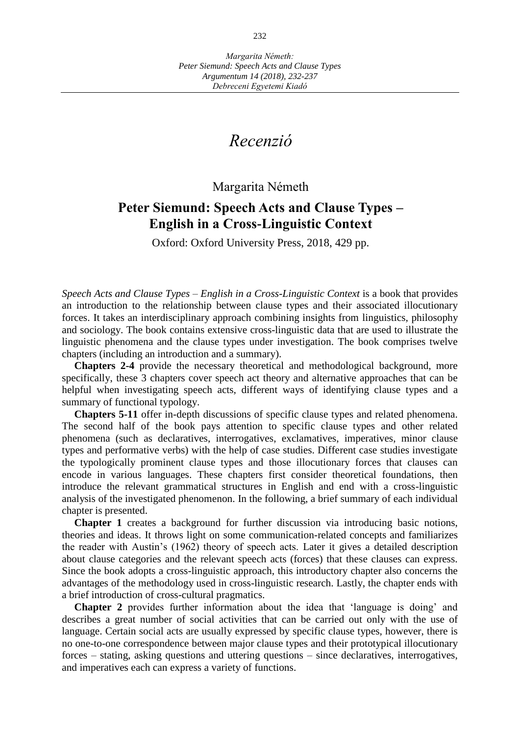# *Recenzió*

### Margarita Németh

## **Peter Siemund: Speech Acts and Clause Types – English in a Cross-Linguistic Context**

Oxford: Oxford University Press, 2018, 429 pp.

*Speech Acts and Clause Types – English in a Cross-Linguistic Context* is a book that provides an introduction to the relationship between clause types and their associated illocutionary forces. It takes an interdisciplinary approach combining insights from linguistics, philosophy and sociology. The book contains extensive cross-linguistic data that are used to illustrate the linguistic phenomena and the clause types under investigation. The book comprises twelve chapters (including an introduction and a summary).

**Chapters 2-4** provide the necessary theoretical and methodological background, more specifically, these 3 chapters cover speech act theory and alternative approaches that can be helpful when investigating speech acts, different ways of identifying clause types and a summary of functional typology.

**Chapters 5-11** offer in-depth discussions of specific clause types and related phenomena. The second half of the book pays attention to specific clause types and other related phenomena (such as declaratives, interrogatives, exclamatives, imperatives, minor clause types and performative verbs) with the help of case studies. Different case studies investigate the typologically prominent clause types and those illocutionary forces that clauses can encode in various languages. These chapters first consider theoretical foundations, then introduce the relevant grammatical structures in English and end with a cross-linguistic analysis of the investigated phenomenon. In the following, a brief summary of each individual chapter is presented.

**Chapter 1** creates a background for further discussion via introducing basic notions, theories and ideas. It throws light on some communication-related concepts and familiarizes the reader with Austin's (1962) theory of speech acts. Later it gives a detailed description about clause categories and the relevant speech acts (forces) that these clauses can express. Since the book adopts a cross-linguistic approach, this introductory chapter also concerns the advantages of the methodology used in cross-linguistic research. Lastly, the chapter ends with a brief introduction of cross-cultural pragmatics.

**Chapter 2** provides further information about the idea that 'language is doing' and describes a great number of social activities that can be carried out only with the use of language. Certain social acts are usually expressed by specific clause types, however, there is no one-to-one correspondence between major clause types and their prototypical illocutionary forces – stating, asking questions and uttering questions – since declaratives, interrogatives, and imperatives each can express a variety of functions.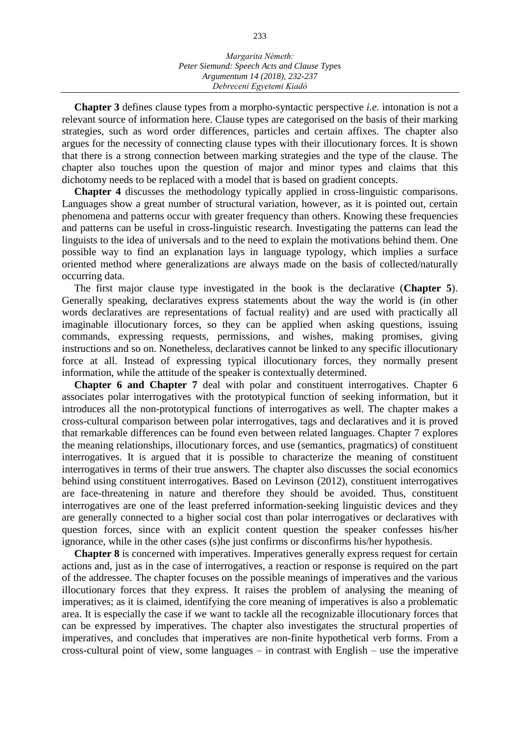**Chapter 3** defines clause types from a morpho-syntactic perspective *i.e.* intonation is not a relevant source of information here. Clause types are categorised on the basis of their marking strategies, such as word order differences, particles and certain affixes. The chapter also argues for the necessity of connecting clause types with their illocutionary forces. It is shown that there is a strong connection between marking strategies and the type of the clause. The chapter also touches upon the question of major and minor types and claims that this dichotomy needs to be replaced with a model that is based on gradient concepts.

**Chapter 4** discusses the methodology typically applied in cross-linguistic comparisons. Languages show a great number of structural variation, however, as it is pointed out, certain phenomena and patterns occur with greater frequency than others. Knowing these frequencies and patterns can be useful in cross-linguistic research. Investigating the patterns can lead the linguists to the idea of universals and to the need to explain the motivations behind them. One possible way to find an explanation lays in language typology, which implies a surface oriented method where generalizations are always made on the basis of collected/naturally occurring data.

The first major clause type investigated in the book is the declarative (**Chapter 5**). Generally speaking, declaratives express statements about the way the world is (in other words declaratives are representations of factual reality) and are used with practically all imaginable illocutionary forces, so they can be applied when asking questions, issuing commands, expressing requests, permissions, and wishes, making promises, giving instructions and so on. Nonetheless, declaratives cannot be linked to any specific illocutionary force at all. Instead of expressing typical illocutionary forces, they normally present information, while the attitude of the speaker is contextually determined.

**Chapter 6 and Chapter 7** deal with polar and constituent interrogatives. Chapter 6 associates polar interrogatives with the prototypical function of seeking information, but it introduces all the non-prototypical functions of interrogatives as well. The chapter makes a cross-cultural comparison between polar interrogatives, tags and declaratives and it is proved that remarkable differences can be found even between related languages. Chapter 7 explores the meaning relationships, illocutionary forces, and use (semantics, pragmatics) of constituent interrogatives. It is argued that it is possible to characterize the meaning of constituent interrogatives in terms of their true answers. The chapter also discusses the social economics behind using constituent interrogatives. Based on Levinson (2012), constituent interrogatives are face-threatening in nature and therefore they should be avoided. Thus, constituent interrogatives are one of the least preferred information-seeking linguistic devices and they are generally connected to a higher social cost than polar interrogatives or declaratives with question forces, since with an explicit content question the speaker confesses his/her ignorance, while in the other cases (s)he just confirms or disconfirms his/her hypothesis.

**Chapter 8** is concerned with imperatives. Imperatives generally express request for certain actions and, just as in the case of interrogatives, a reaction or response is required on the part of the addressee. The chapter focuses on the possible meanings of imperatives and the various illocutionary forces that they express. It raises the problem of analysing the meaning of imperatives; as it is claimed, identifying the core meaning of imperatives is also a problematic area. It is especially the case if we want to tackle all the recognizable illocutionary forces that can be expressed by imperatives. The chapter also investigates the structural properties of imperatives, and concludes that imperatives are non-finite hypothetical verb forms. From a cross-cultural point of view, some languages – in contrast with English – use the imperative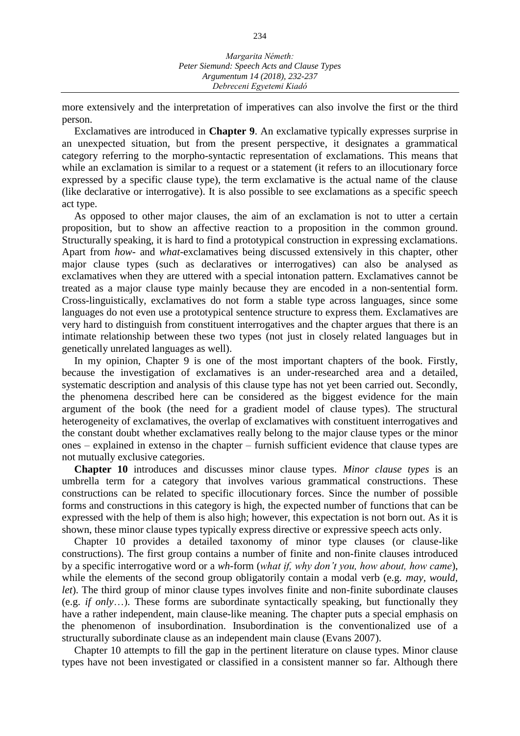more extensively and the interpretation of imperatives can also involve the first or the third person.

Exclamatives are introduced in **Chapter 9**. An exclamative typically expresses surprise in an unexpected situation, but from the present perspective, it designates a grammatical category referring to the morpho-syntactic representation of exclamations. This means that while an exclamation is similar to a request or a statement (it refers to an illocutionary force expressed by a specific clause type), the term exclamative is the actual name of the clause (like declarative or interrogative). It is also possible to see exclamations as a specific speech act type.

As opposed to other major clauses, the aim of an exclamation is not to utter a certain proposition, but to show an affective reaction to a proposition in the common ground. Structurally speaking, it is hard to find a prototypical construction in expressing exclamations. Apart from *how*- and *what*-exclamatives being discussed extensively in this chapter, other major clause types (such as declaratives or interrogatives) can also be analysed as exclamatives when they are uttered with a special intonation pattern. Exclamatives cannot be treated as a major clause type mainly because they are encoded in a non-sentential form. Cross-linguistically, exclamatives do not form a stable type across languages, since some languages do not even use a prototypical sentence structure to express them. Exclamatives are very hard to distinguish from constituent interrogatives and the chapter argues that there is an intimate relationship between these two types (not just in closely related languages but in genetically unrelated languages as well).

In my opinion, Chapter 9 is one of the most important chapters of the book. Firstly, because the investigation of exclamatives is an under-researched area and a detailed, systematic description and analysis of this clause type has not yet been carried out. Secondly, the phenomena described here can be considered as the biggest evidence for the main argument of the book (the need for a gradient model of clause types). The structural heterogeneity of exclamatives, the overlap of exclamatives with constituent interrogatives and the constant doubt whether exclamatives really belong to the major clause types or the minor ones – explained in extenso in the chapter – furnish sufficient evidence that clause types are not mutually exclusive categories.

**Chapter 10** introduces and discusses minor clause types. *Minor clause types* is an umbrella term for a category that involves various grammatical constructions. These constructions can be related to specific illocutionary forces. Since the number of possible forms and constructions in this category is high, the expected number of functions that can be expressed with the help of them is also high; however, this expectation is not born out. As it is shown, these minor clause types typically express directive or expressive speech acts only.

Chapter 10 provides a detailed taxonomy of minor type clauses (or clause-like constructions). The first group contains a number of finite and non-finite clauses introduced by a specific interrogative word or a *wh*-form (*what if, why don't you, how about, how came*), while the elements of the second group obligatorily contain a modal verb (e.g. *may, would, let*). The third group of minor clause types involves finite and non-finite subordinate clauses (e.g. *if only*…). These forms are subordinate syntactically speaking, but functionally they have a rather independent, main clause-like meaning. The chapter puts a special emphasis on the phenomenon of insubordination. Insubordination is the conventionalized use of a structurally subordinate clause as an independent main clause (Evans 2007).

Chapter 10 attempts to fill the gap in the pertinent literature on clause types. Minor clause types have not been investigated or classified in a consistent manner so far. Although there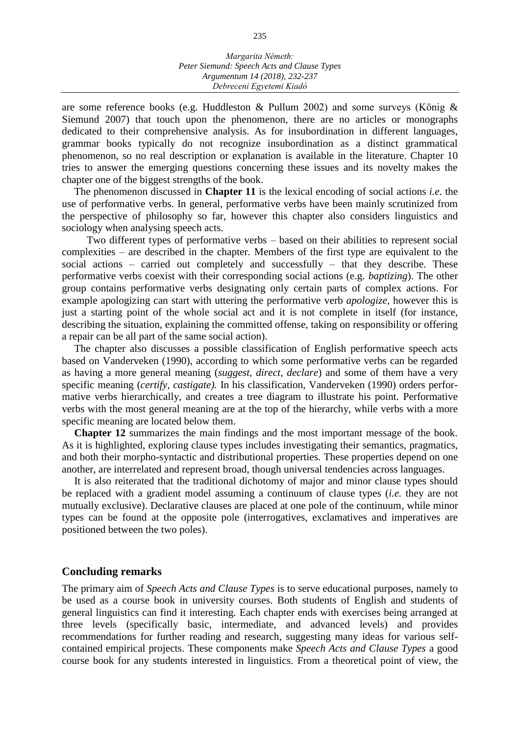#### *Margarita Németh: Peter Siemund: Speech Acts and Clause Types Argumentum 14 (2018), 232-237 Debreceni Egyetemi Kiadó*

are some reference books (e.g. Huddleston & Pullum 2002) and some surveys (König & Siemund 2007) that touch upon the phenomenon, there are no articles or monographs dedicated to their comprehensive analysis. As for insubordination in different languages, grammar books typically do not recognize insubordination as a distinct grammatical phenomenon, so no real description or explanation is available in the literature. Chapter 10 tries to answer the emerging questions concerning these issues and its novelty makes the chapter one of the biggest strengths of the book.

The phenomenon discussed in **Chapter 11** is the lexical encoding of social actions *i.e*. the use of performative verbs. In general, performative verbs have been mainly scrutinized from the perspective of philosophy so far, however this chapter also considers linguistics and sociology when analysing speech acts.

Two different types of performative verbs – based on their abilities to represent social complexities – are described in the chapter. Members of the first type are equivalent to the social actions – carried out completely and successfully – that they describe. These performative verbs coexist with their corresponding social actions (e.g. *baptizing*). The other group contains performative verbs designating only certain parts of complex actions. For example apologizing can start with uttering the performative verb *apologize,* however this is just a starting point of the whole social act and it is not complete in itself (for instance, describing the situation, explaining the committed offense, taking on responsibility or offering a repair can be all part of the same social action).

The chapter also discusses a possible classification of English performative speech acts based on Vanderveken (1990), according to which some performative verbs can be regarded as having a more general meaning (*suggest, direct, declare*) and some of them have a very specific meaning (*certify, castigate).* In his classification, Vanderveken (1990) orders performative verbs hierarchically, and creates a tree diagram to illustrate his point. Performative verbs with the most general meaning are at the top of the hierarchy, while verbs with a more specific meaning are located below them.

**Chapter 12** summarizes the main findings and the most important message of the book. As it is highlighted, exploring clause types includes investigating their semantics, pragmatics, and both their morpho-syntactic and distributional properties. These properties depend on one another, are interrelated and represent broad, though universal tendencies across languages.

It is also reiterated that the traditional dichotomy of major and minor clause types should be replaced with a gradient model assuming a continuum of clause types (*i.e.* they are not mutually exclusive). Declarative clauses are placed at one pole of the continuum, while minor types can be found at the opposite pole (interrogatives, exclamatives and imperatives are positioned between the two poles).

### **Concluding remarks**

The primary aim of *Speech Acts and Clause Types* is to serve educational purposes, namely to be used as a course book in university courses. Both students of English and students of general linguistics can find it interesting. Each chapter ends with exercises being arranged at three levels (specifically basic, intermediate, and advanced levels) and provides recommendations for further reading and research, suggesting many ideas for various selfcontained empirical projects. These components make *Speech Acts and Clause Types* a good course book for any students interested in linguistics. From a theoretical point of view, the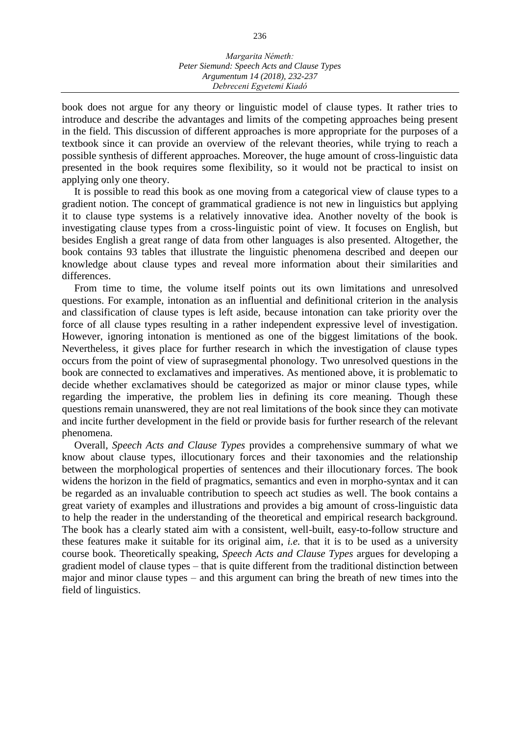#### *Margarita Németh: Peter Siemund: Speech Acts and Clause Types Argumentum 14 (2018), 232-237 Debreceni Egyetemi Kiadó*

book does not argue for any theory or linguistic model of clause types. It rather tries to introduce and describe the advantages and limits of the competing approaches being present in the field. This discussion of different approaches is more appropriate for the purposes of a textbook since it can provide an overview of the relevant theories, while trying to reach a possible synthesis of different approaches. Moreover, the huge amount of cross-linguistic data presented in the book requires some flexibility, so it would not be practical to insist on applying only one theory.

It is possible to read this book as one moving from a categorical view of clause types to a gradient notion. The concept of grammatical gradience is not new in linguistics but applying it to clause type systems is a relatively innovative idea. Another novelty of the book is investigating clause types from a cross-linguistic point of view. It focuses on English, but besides English a great range of data from other languages is also presented. Altogether, the book contains 93 tables that illustrate the linguistic phenomena described and deepen our knowledge about clause types and reveal more information about their similarities and differences.

From time to time, the volume itself points out its own limitations and unresolved questions. For example, intonation as an influential and definitional criterion in the analysis and classification of clause types is left aside, because intonation can take priority over the force of all clause types resulting in a rather independent expressive level of investigation. However, ignoring intonation is mentioned as one of the biggest limitations of the book. Nevertheless, it gives place for further research in which the investigation of clause types occurs from the point of view of suprasegmental phonology. Two unresolved questions in the book are connected to exclamatives and imperatives. As mentioned above, it is problematic to decide whether exclamatives should be categorized as major or minor clause types, while regarding the imperative, the problem lies in defining its core meaning. Though these questions remain unanswered, they are not real limitations of the book since they can motivate and incite further development in the field or provide basis for further research of the relevant phenomena.

Overall, *Speech Acts and Clause Types* provides a comprehensive summary of what we know about clause types, illocutionary forces and their taxonomies and the relationship between the morphological properties of sentences and their illocutionary forces. The book widens the horizon in the field of pragmatics, semantics and even in morpho-syntax and it can be regarded as an invaluable contribution to speech act studies as well. The book contains a great variety of examples and illustrations and provides a big amount of cross-linguistic data to help the reader in the understanding of the theoretical and empirical research background. The book has a clearly stated aim with a consistent, well-built, easy-to-follow structure and these features make it suitable for its original aim, *i.e.* that it is to be used as a university course book. Theoretically speaking, *Speech Acts and Clause Types* argues for developing a gradient model of clause types – that is quite different from the traditional distinction between major and minor clause types – and this argument can bring the breath of new times into the field of linguistics.